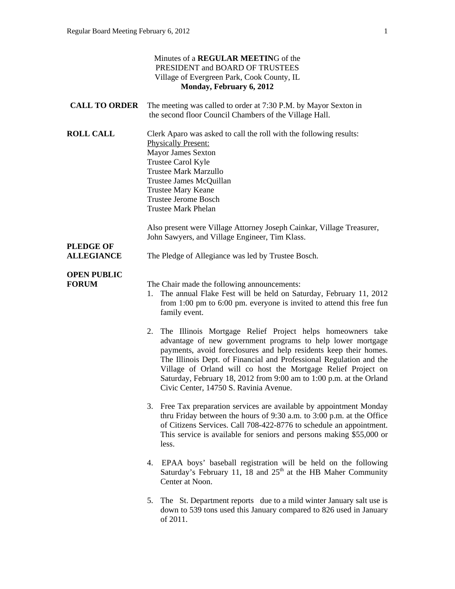|                                       | Minutes of a REGULAR MEETING of the<br>PRESIDENT and BOARD OF TRUSTEES<br>Village of Evergreen Park, Cook County, IL<br>Monday, February 6, 2012                                                                                                                                                                                                                                                                                                           |
|---------------------------------------|------------------------------------------------------------------------------------------------------------------------------------------------------------------------------------------------------------------------------------------------------------------------------------------------------------------------------------------------------------------------------------------------------------------------------------------------------------|
| <b>CALL TO ORDER</b>                  | The meeting was called to order at 7:30 P.M. by Mayor Sexton in<br>the second floor Council Chambers of the Village Hall.                                                                                                                                                                                                                                                                                                                                  |
| <b>ROLL CALL</b>                      | Clerk Aparo was asked to call the roll with the following results:<br><b>Physically Present:</b><br><b>Mayor James Sexton</b><br>Trustee Carol Kyle<br><b>Trustee Mark Marzullo</b><br>Trustee James McQuillan<br><b>Trustee Mary Keane</b><br><b>Trustee Jerome Bosch</b><br><b>Trustee Mark Phelan</b>                                                                                                                                                   |
|                                       | Also present were Village Attorney Joseph Cainkar, Village Treasurer,<br>John Sawyers, and Village Engineer, Tim Klass.                                                                                                                                                                                                                                                                                                                                    |
| <b>PLEDGE OF</b><br><b>ALLEGIANCE</b> | The Pledge of Allegiance was led by Trustee Bosch.                                                                                                                                                                                                                                                                                                                                                                                                         |
| <b>OPEN PUBLIC</b><br><b>FORUM</b>    | The Chair made the following announcements:<br>The annual Flake Fest will be held on Saturday, February 11, 2012<br>1.<br>from $1:00 \text{ pm}$ to $6:00 \text{ pm}$ . everyone is invited to attend this free fun<br>family event.                                                                                                                                                                                                                       |
|                                       | 2. The Illinois Mortgage Relief Project helps homeowners take<br>advantage of new government programs to help lower mortgage<br>payments, avoid foreclosures and help residents keep their homes.<br>The Illinois Dept. of Financial and Professional Regulation and the<br>Village of Orland will co host the Mortgage Relief Project on<br>Saturday, February 18, 2012 from 9:00 am to 1:00 p.m. at the Orland<br>Civic Center, 14750 S. Ravinia Avenue. |
|                                       | 3. Free Tax preparation services are available by appointment Monday<br>thru Friday between the hours of 9:30 a.m. to 3:00 p.m. at the Office<br>of Citizens Services. Call 708-422-8776 to schedule an appointment.<br>This service is available for seniors and persons making \$55,000 or<br>less.                                                                                                                                                      |
|                                       | 4. EPAA boys' baseball registration will be held on the following<br>Saturday's February 11, 18 and $25th$ at the HB Maher Community<br>Center at Noon.                                                                                                                                                                                                                                                                                                    |
|                                       | The St. Department reports due to a mild winter January salt use is<br>5.<br>down to 539 tons used this January compared to 826 used in January<br>of 2011.                                                                                                                                                                                                                                                                                                |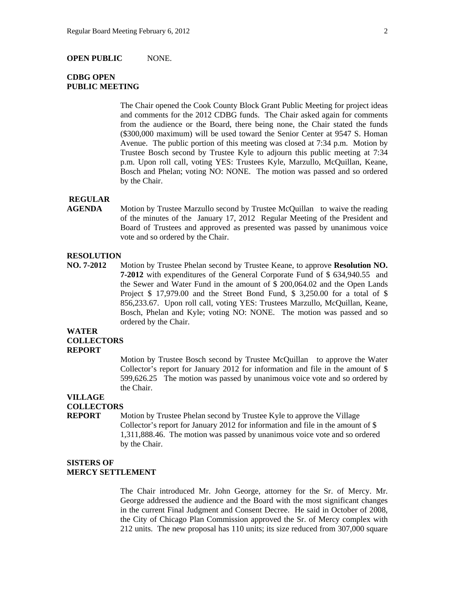#### **OPEN PUBLIC** NONE.

# **CDBG OPEN PUBLIC MEETING**

 The Chair opened the Cook County Block Grant Public Meeting for project ideas and comments for the 2012 CDBG funds. The Chair asked again for comments from the audience or the Board, there being none, the Chair stated the funds (\$300,000 maximum) will be used toward the Senior Center at 9547 S. Homan Avenue. The public portion of this meeting was closed at 7:34 p.m. Motion by Trustee Bosch second by Trustee Kyle to adjourn this public meeting at 7:34 p.m. Upon roll call, voting YES: Trustees Kyle, Marzullo, McQuillan, Keane, Bosch and Phelan; voting NO: NONE. The motion was passed and so ordered by the Chair.

### **REGULAR**

**AGENDA** Motion by Trustee Marzullo second by Trustee McQuillan to waive the reading of the minutes of the January 17, 2012 Regular Meeting of the President and Board of Trustees and approved as presented was passed by unanimous voice vote and so ordered by the Chair.

### **RESOLUTION**

**NO. 7-2012** Motion by Trustee Phelan second by Trustee Keane, to approve **Resolution NO. 7-2012** with expenditures of the General Corporate Fund of \$ 634,940.55 and the Sewer and Water Fund in the amount of \$ 200,064.02 and the Open Lands Project \$ 17,979.00 and the Street Bond Fund, \$ 3,250.00 for a total of \$ 856,233.67. Upon roll call, voting YES: Trustees Marzullo, McQuillan, Keane, Bosch, Phelan and Kyle; voting NO: NONE. The motion was passed and so ordered by the Chair.

### **WATER COLLECTORS REPORT**

Motion by Trustee Bosch second by Trustee McQuillan to approve the Water Collector's report for January 2012 for information and file in the amount of \$ 599,626.25 The motion was passed by unanimous voice vote and so ordered by the Chair.

# **VILLAGE**

# **COLLECTORS**

**REPORT** Motion by Trustee Phelan second by Trustee Kyle to approve the Village Collector's report for January 2012 for information and file in the amount of \$ 1,311,888.46. The motion was passed by unanimous voice vote and so ordered by the Chair.

### **SISTERS OF MERCY SETTLEMENT**

The Chair introduced Mr. John George, attorney for the Sr. of Mercy. Mr. George addressed the audience and the Board with the most significant changes in the current Final Judgment and Consent Decree. He said in October of 2008, the City of Chicago Plan Commission approved the Sr. of Mercy complex with 212 units. The new proposal has 110 units; its size reduced from 307,000 square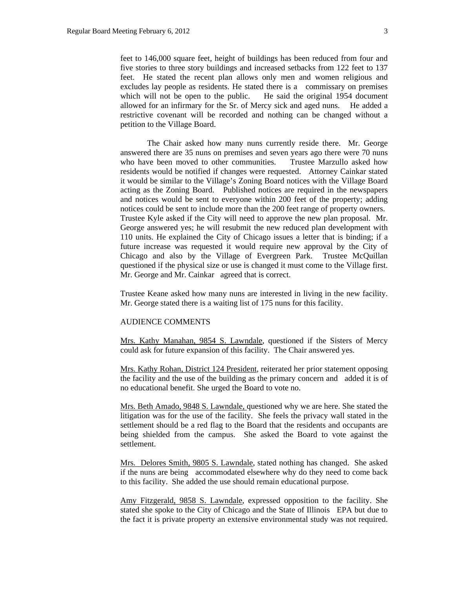feet to 146,000 square feet, height of buildings has been reduced from four and five stories to three story buildings and increased setbacks from 122 feet to 137 feet. He stated the recent plan allows only men and women religious and excludes lay people as residents. He stated there is a commissary on premises which will not be open to the public. He said the original 1954 document allowed for an infirmary for the Sr. of Mercy sick and aged nuns. He added a restrictive covenant will be recorded and nothing can be changed without a petition to the Village Board.

 The Chair asked how many nuns currently reside there. Mr. George answered there are 35 nuns on premises and seven years ago there were 70 nuns who have been moved to other communities. Trustee Marzullo asked how residents would be notified if changes were requested. Attorney Cainkar stated it would be similar to the Village's Zoning Board notices with the Village Board acting as the Zoning Board. Published notices are required in the newspapers and notices would be sent to everyone within 200 feet of the property; adding notices could be sent to include more than the 200 feet range of property owners. Trustee Kyle asked if the City will need to approve the new plan proposal. Mr. George answered yes; he will resubmit the new reduced plan development with 110 units. He explained the City of Chicago issues a letter that is binding; if a future increase was requested it would require new approval by the City of Chicago and also by the Village of Evergreen Park. Trustee McQuillan questioned if the physical size or use is changed it must come to the Village first. Mr. George and Mr. Cainkar agreed that is correct.

Trustee Keane asked how many nuns are interested in living in the new facility. Mr. George stated there is a waiting list of 175 nuns for this facility.

### AUDIENCE COMMENTS

Mrs. Kathy Manahan, 9854 S. Lawndale, questioned if the Sisters of Mercy could ask for future expansion of this facility. The Chair answered yes.

Mrs. Kathy Rohan, District 124 President, reiterated her prior statement opposing the facility and the use of the building as the primary concern and added it is of no educational benefit. She urged the Board to vote no.

Mrs. Beth Amado, 9848 S. Lawndale, questioned why we are here. She stated the litigation was for the use of the facility. She feels the privacy wall stated in the settlement should be a red flag to the Board that the residents and occupants are being shielded from the campus. She asked the Board to vote against the settlement.

Mrs. Delores Smith, 9805 S. Lawndale, stated nothing has changed. She asked if the nuns are being accommodated elsewhere why do they need to come back to this facility. She added the use should remain educational purpose.

Amy Fitzgerald, 9858 S. Lawndale, expressed opposition to the facility. She stated she spoke to the City of Chicago and the State of Illinois EPA but due to the fact it is private property an extensive environmental study was not required.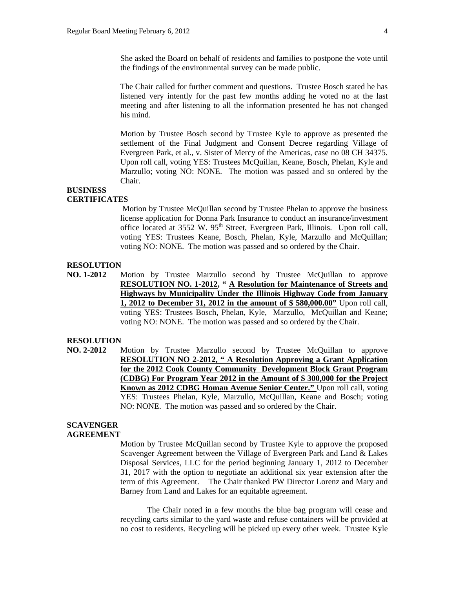The Chair called for further comment and questions. Trustee Bosch stated he has listened very intently for the past few months adding he voted no at the last meeting and after listening to all the information presented he has not changed his mind.

Motion by Trustee Bosch second by Trustee Kyle to approve as presented the settlement of the Final Judgment and Consent Decree regarding Village of Evergreen Park, et al., v. Sister of Mercy of the Americas, case no 08 CH 34375. Upon roll call, voting YES: Trustees McQuillan, Keane, Bosch, Phelan, Kyle and Marzullo; voting NO: NONE. The motion was passed and so ordered by the Chair.

# **BUSINESS**

# **CERTIFICATES**

 Motion by Trustee McQuillan second by Trustee Phelan to approve the business license application for Donna Park Insurance to conduct an insurance/investment office located at 3552 W. 95<sup>th</sup> Street, Evergreen Park, Illinois. Upon roll call, voting YES: Trustees Keane, Bosch, Phelan, Kyle, Marzullo and McQuillan; voting NO: NONE. The motion was passed and so ordered by the Chair.

## **RESOLUTION**

**NO. 1-2012** Motion by Trustee Marzullo second by Trustee McQuillan to approve **RESOLUTION NO. 1-2012, " A Resolution for Maintenance of Streets and Highways by Municipality Under the Illinois Highway Code from January 1, 2012 to December 31, 2012 in the amount of \$ 580,000.00"** Upon roll call, voting YES: Trustees Bosch, Phelan, Kyle, Marzullo, McQuillan and Keane; voting NO: NONE. The motion was passed and so ordered by the Chair.

### **RESOLUTION**

**NO. 2-2012** Motion by Trustee Marzullo second by Trustee McQuillan to approve **RESOLUTION NO 2-2012, " A Resolution Approving a Grant Application for the 2012 Cook County Community Development Block Grant Program (CDBG) For Program Year 2012 in the Amount of \$ 300,000 for the Project Known as 2012 CDBG Homan Avenue Senior Center."** Upon roll call, voting YES: Trustees Phelan, Kyle, Marzullo, McQuillan, Keane and Bosch; voting NO: NONE. The motion was passed and so ordered by the Chair.

### **SCAVENGER AGREEMENT**

Motion by Trustee McQuillan second by Trustee Kyle to approve the proposed Scavenger Agreement between the Village of Evergreen Park and Land & Lakes Disposal Services, LLC for the period beginning January 1, 2012 to December 31, 2017 with the option to negotiate an additional six year extension after the term of this Agreement. The Chair thanked PW Director Lorenz and Mary and Barney from Land and Lakes for an equitable agreement.

The Chair noted in a few months the blue bag program will cease and recycling carts similar to the yard waste and refuse containers will be provided at no cost to residents. Recycling will be picked up every other week. Trustee Kyle